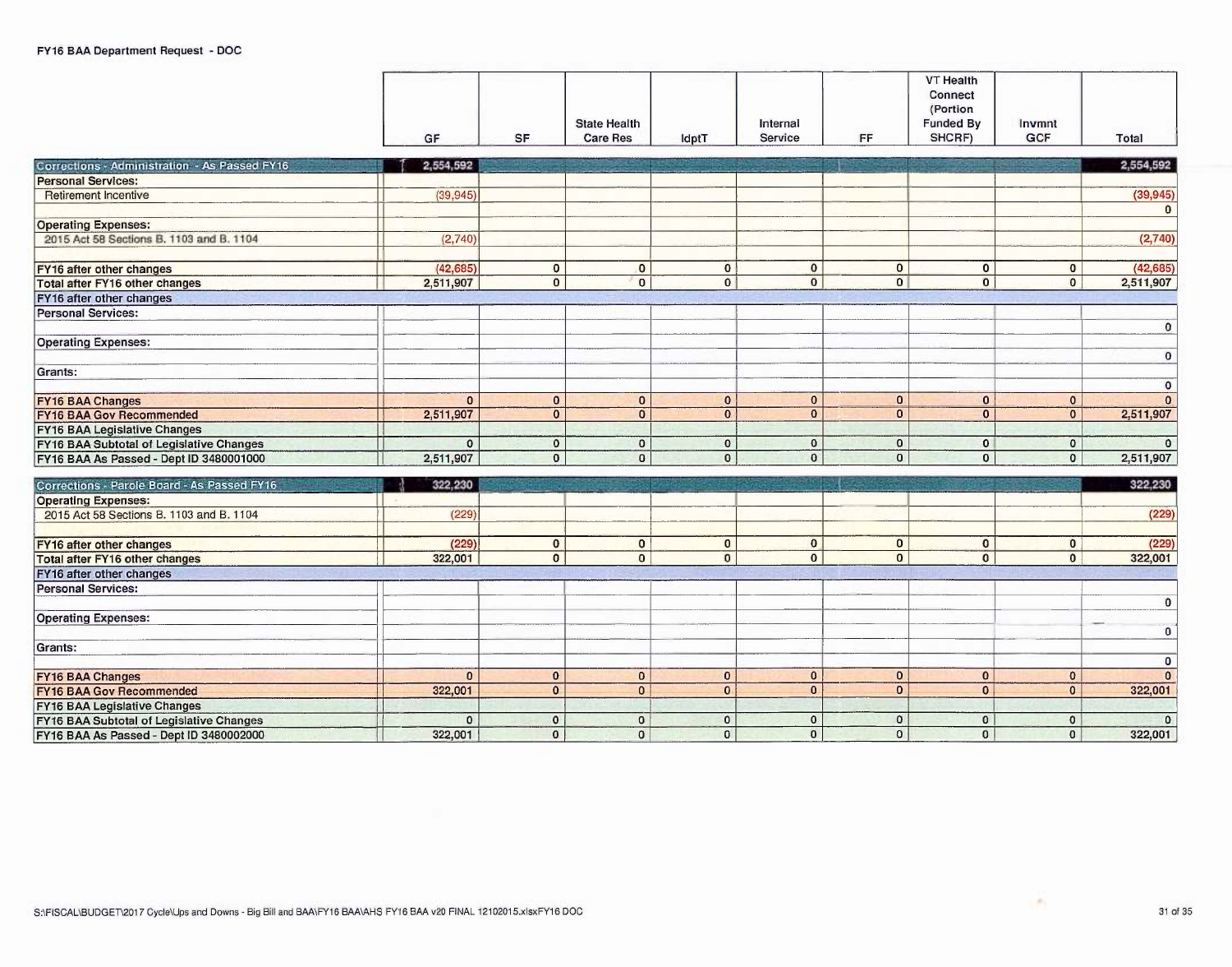**FY16 BAA Legislative Changes** 

FY16 BAA Subtotal of Legislative Changes<br>FY16 BAA As Passed - Dept ID 3480002000

|                                                                                     | GF           | <b>SF</b>      | <b>State Health</b><br><b>Care Res</b> | IdptT                          | Internal<br>Service      | FF                           | <b>VT Health</b><br>Connect<br>(Portion<br>Funded By<br>SHCRF) | Invmnt<br><b>GCF</b>           | Total                       |
|-------------------------------------------------------------------------------------|--------------|----------------|----------------------------------------|--------------------------------|--------------------------|------------------------------|----------------------------------------------------------------|--------------------------------|-----------------------------|
| Corrections - Administration - As Passed FY16                                       | 2,554,592    |                |                                        |                                |                          |                              |                                                                |                                | 2,554,592                   |
| <b>Personal Services:</b>                                                           |              |                |                                        |                                |                          |                              |                                                                |                                |                             |
| <b>Retirement Incentive</b>                                                         | (39.945)     |                |                                        |                                |                          |                              |                                                                |                                | (39, 945)                   |
|                                                                                     |              |                |                                        |                                |                          |                              |                                                                |                                | $\overline{0}$              |
| <b>Operating Expenses:</b>                                                          |              |                |                                        |                                |                          |                              |                                                                |                                |                             |
| 2015 Act 58 Sections B, 1103 and B, 1104                                            | (2,740)      |                |                                        |                                |                          |                              |                                                                |                                | (2,740)                     |
|                                                                                     |              |                |                                        |                                |                          |                              |                                                                |                                |                             |
| FY16 after other changes                                                            | (42, 685)    | $\mathbf{0}$   | $\mathbf{0}$                           | $\mathbf{0}$                   | $\mathbf{o}$             | $\mathbf 0$                  | $\mathbf{0}$                                                   | $\mathbf{0}$                   | (42, 685)                   |
| Total after FY16 other changes                                                      | 2,511,907    | $\overline{0}$ | $\overline{0}$                         | $\mathbf{0}$                   | $\overline{0}$           | $\overline{0}$               | $\overline{0}$                                                 | $\overline{0}$                 | 2,511,907                   |
| FY16 after other changes                                                            |              |                |                                        |                                |                          |                              |                                                                |                                |                             |
| <b>Personal Services:</b>                                                           |              |                |                                        |                                |                          |                              |                                                                |                                |                             |
|                                                                                     |              |                |                                        |                                |                          |                              |                                                                |                                | $\overline{0}$              |
| <b>Operating Expenses:</b>                                                          |              |                |                                        |                                |                          |                              |                                                                |                                |                             |
|                                                                                     |              |                |                                        |                                |                          |                              |                                                                |                                | $\mathbf{0}$                |
| Grants:                                                                             |              |                |                                        |                                |                          |                              |                                                                |                                |                             |
|                                                                                     |              |                |                                        |                                |                          |                              |                                                                |                                | $\circ$                     |
| <b>FY16 BAA Changes</b>                                                             | $\mathbf{0}$ | $\mathbf{0}$   | $\mathbf{0}$                           | $\mathbf{0}$<br>$\overline{0}$ | $\bf{0}$<br>$\mathbf{0}$ | $\mathbf{0}$<br>$\mathbf{0}$ | $\overline{0}$<br>$\mathbf{0}$                                 | $\mathbf{0}$<br>$\overline{0}$ | $\overline{0}$<br>2,511,907 |
| <b>FY16 BAA Gov Recommended</b>                                                     | 2,511,907    | $\overline{0}$ | $\mathbf{0}$                           |                                |                          |                              |                                                                |                                |                             |
| <b>FY16 BAA Legislative Changes</b>                                                 | $\Omega$     | $\mathbf{0}$   | $\mathbf{O}$                           | $\mathbf{0}$                   | $\mathbf 0$              | $\mathbf 0$                  | $\mathbf{0}$                                                   | $\mathbf{0}$                   | $\overline{0}$              |
| FY16 BAA Subtotal of Legislative Changes<br>FY16 BAA As Passed - Dept ID 3480001000 | 2,511,907    | $\overline{0}$ | $\Omega$                               | $\overline{0}$                 | $\mathbf{0}$             | $\mathbf{0}$                 | $\mathbf{0}$                                                   | $\overline{0}$                 | 2,511,907                   |
|                                                                                     |              |                |                                        |                                |                          |                              |                                                                |                                |                             |
| Corrections - Parole Board - As Passed FY16                                         | 322,230      |                |                                        |                                |                          |                              |                                                                |                                | 322,230                     |
| <b>Operating Expenses:</b>                                                          |              |                |                                        |                                |                          |                              |                                                                |                                |                             |
| 2015 Act 58 Sections B, 1103 and B, 1104                                            | (229)        |                |                                        |                                |                          |                              |                                                                |                                | (229)                       |
|                                                                                     |              |                |                                        |                                |                          |                              |                                                                |                                |                             |
| <b>FY16 after other changes</b>                                                     | (229)        | $\overline{0}$ | $\mathbf{0}$                           | $\bf{0}$                       | $\overline{0}$           | $\mathbf{0}$                 | $\overline{0}$                                                 | $\overline{0}$                 | (229)                       |
| <b>Total after FY16 other changes</b>                                               | 322,001      | $\overline{0}$ | $\overline{0}$                         | $\overline{0}$                 | $\overline{0}$           | $\mathbf{0}$                 | $\overline{0}$                                                 | $\overline{0}$                 | 322,001                     |
| FY16 after other changes                                                            |              |                |                                        |                                |                          |                              |                                                                |                                |                             |
| <b>Personal Services:</b>                                                           |              |                |                                        |                                |                          |                              |                                                                |                                |                             |
|                                                                                     |              |                |                                        |                                |                          |                              |                                                                |                                | $\mathbf{0}$                |
| <b>Operating Expenses:</b>                                                          |              |                |                                        |                                |                          |                              |                                                                |                                | $\overline{0}$              |
| Grants:                                                                             |              |                |                                        |                                |                          |                              |                                                                |                                |                             |
|                                                                                     |              |                |                                        |                                |                          |                              |                                                                |                                | $\overline{0}$              |
| <b>FY16 BAA Changes</b>                                                             | $\mathbf{0}$ | $\bf{0}$       | $\mathbf{0}$                           | $\mathbf{0}$                   | $\bf{0}$                 | $\mathbf{0}$                 | $\Omega$                                                       | $\overline{0}$                 | $\overline{0}$              |
| <b>FY16 BAA Gov Recommended</b>                                                     | 322,001      | $\bf{0}$       | $\Omega$                               | $\bf{0}$                       | $\mathbf{0}$             | $\mathbf{0}$                 | $\overline{0}$                                                 | 0                              | 322,001                     |

 $\overline{0}$ 

 $\overline{0}$ 

 $\overline{\circ}$ 

 $\overline{0}$ 

 $\overline{0}$ 

 $\overline{0}$ 

 $\overline{0}$ 

 $\overline{0}$ 

 $\overline{0}$ 

 $\overline{\circ}$ 

 $\overline{\circ}$ 

 $0$ 

322,001

 $\overline{\circ}$ 

 $\mathbf{H}$ 

Ħ

÷.

 $\overline{0}$ 

 $|0|$ 

322,001

 $\circ$